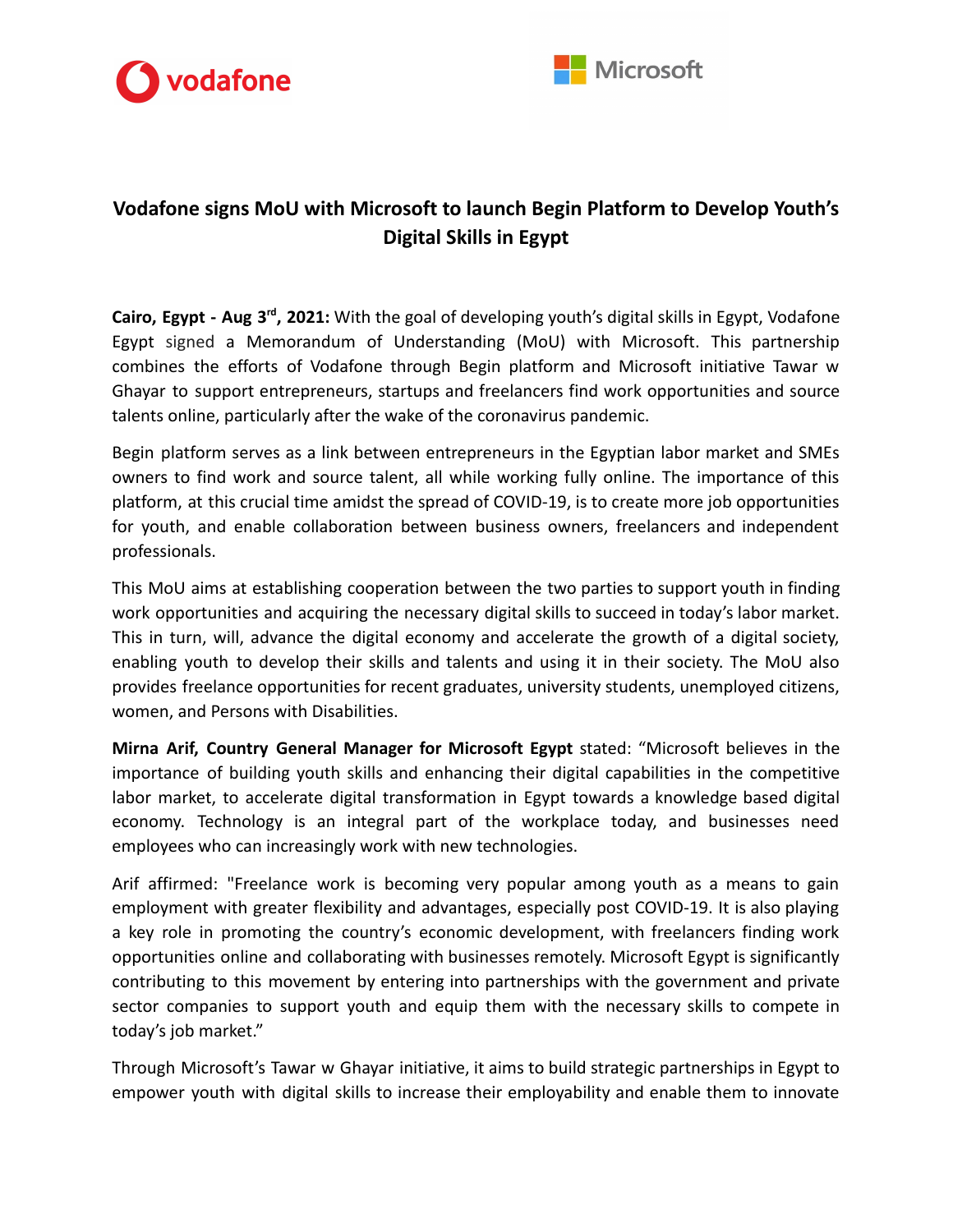



## **Vodafone signs MoU with Microsoft to launch Begin Platform to Develop Youth's Digital Skills in Egypt**

**Cairo, Egypt - Aug 3 rd , 2021:** With the goal of developing youth's digital skills in Egypt, Vodafone Egypt signed a Memorandum of Understanding (MoU) with Microsoft. This partnership combines the efforts of Vodafone through Begin platform and Microsoft initiative Tawar w Ghayar to support entrepreneurs, startups and freelancers find work opportunities and source talents online, particularly after the wake of the coronavirus pandemic.

Begin platform serves as a link between entrepreneurs in the Egyptian labor market and SMEs owners to find work and source talent, all while working fully online. The importance of this platform, at this crucial time amidst the spread of COVID-19, is to create more job opportunities for youth, and enable collaboration between business owners, freelancers and independent professionals.

This MoU aims at establishing cooperation between the two parties to support youth in finding work opportunities and acquiring the necessary digital skills to succeed in today's labor market. This in turn, will, advance the digital economy and accelerate the growth of a digital society, enabling youth to develop their skills and talents and using it in their society. The MoU also provides freelance opportunities for recent graduates, university students, unemployed citizens, women, and Persons with Disabilities.

**Mirna Arif, Country General Manager for Microsoft Egypt** stated: "Microsoft believes in the importance of building youth skills and enhancing their digital capabilities in the competitive labor market, to accelerate digital transformation in Egypt towards a knowledge based digital economy. Technology is an integral part of the workplace today, and businesses need employees who can increasingly work with new technologies.

Arif affirmed: "Freelance work is becoming very popular among youth as a means to gain employment with greater flexibility and advantages, especially post COVID-19. It is also playing a key role in promoting the country's economic development, with freelancers finding work opportunities online and collaborating with businesses remotely. Microsoft Egypt is significantly contributing to this movement by entering into partnerships with the government and private sector companies to support youth and equip them with the necessary skills to compete in today's job market."

Through Microsoft's Tawar w Ghayar initiative, it aims to build strategic partnerships in Egypt to empower youth with digital skills to increase their employability and enable them to innovate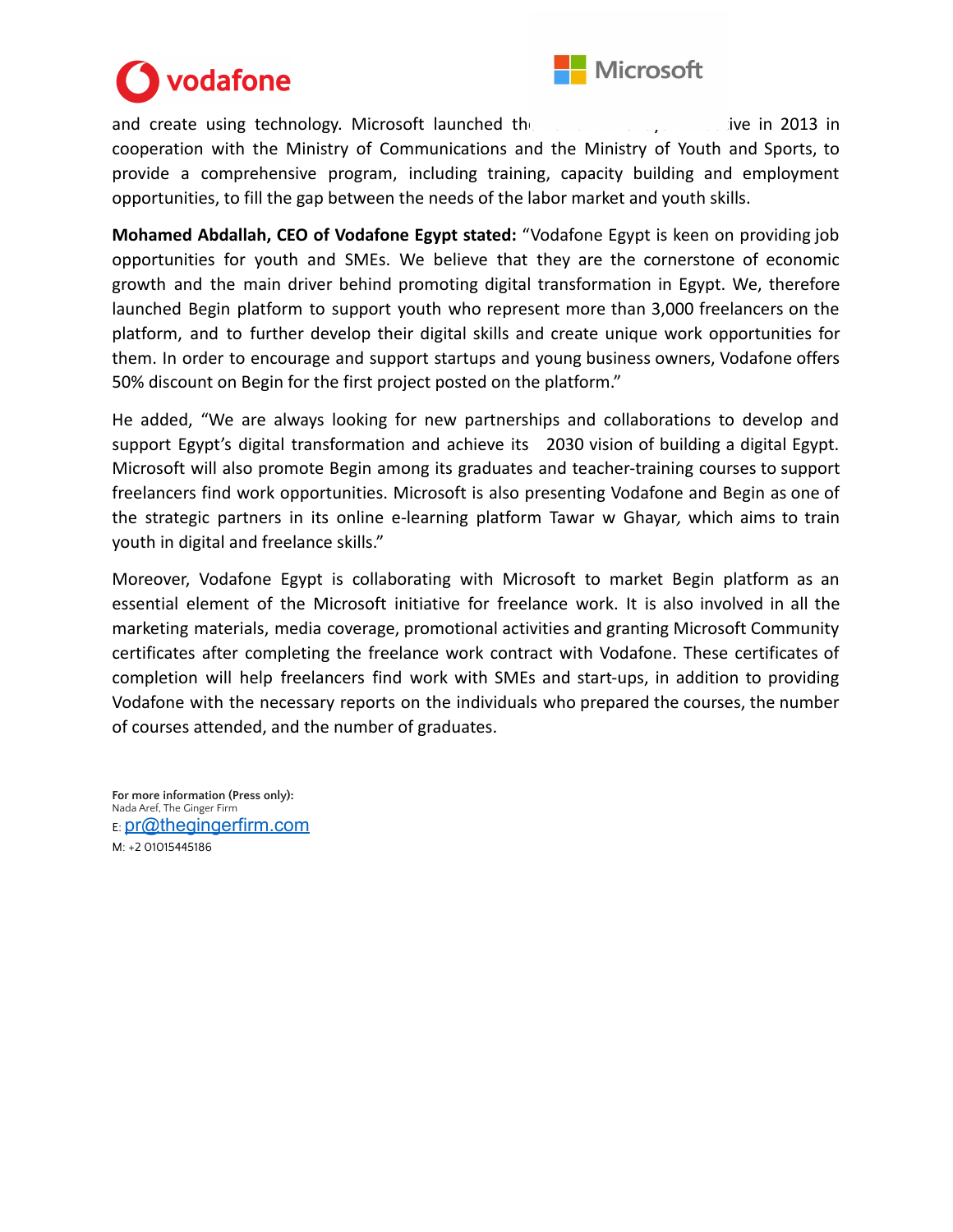

## vodafone

and create using technology. Microsoft launched the  $T_{\text{max}}$  w Grange in 2013 in cooperation with the Ministry of Communications and the Ministry of Youth and Sports, to provide a comprehensive program, including training, capacity building and employment opportunities, to fill the gap between the needs of the labor market and youth skills.

**Mohamed Abdallah, CEO of Vodafone Egypt stated:** "Vodafone Egypt is keen on providing job opportunities for youth and SMEs. We believe that they are the cornerstone of economic growth and the main driver behind promoting digital transformation in Egypt. We, therefore launched Begin platform to support youth who represent more than 3,000 freelancers on the platform, and to further develop their digital skills and create unique work opportunities for them. In order to encourage and support startups and young business owners, Vodafone offers 50% discount on Begin for the first project posted on the platform."

He added, "We are always looking for new partnerships and collaborations to develop and support Egypt's digital transformation and achieve its 2030 vision of building a digital Egypt. Microsoft will also promote Begin among its graduates and teacher-training courses to support freelancers find work opportunities. Microsoft is also presenting Vodafone and Begin as one of the strategic partners in its online e-learning platform Tawar w Ghayar*,* which aims to train youth in digital and freelance skills."

Moreover, Vodafone Egypt is collaborating with Microsoft to market Begin platform as an essential element of the Microsoft initiative for freelance work. It is also involved in all the marketing materials, media coverage, promotional activities and granting Microsoft Community certificates after completing the freelance work contract with Vodafone. These certificates of completion will help freelancers find work with SMEs and start-ups, in addition to providing Vodafone with the necessary reports on the individuals who prepared the courses, the number of courses attended, and the number of graduates.

**For more information (Press only):** Nada Aref, The Ginger Firm E: [pr@thegingerfirm.com](mailto:pr@thegingerfirm.com) M: +2 01015445186